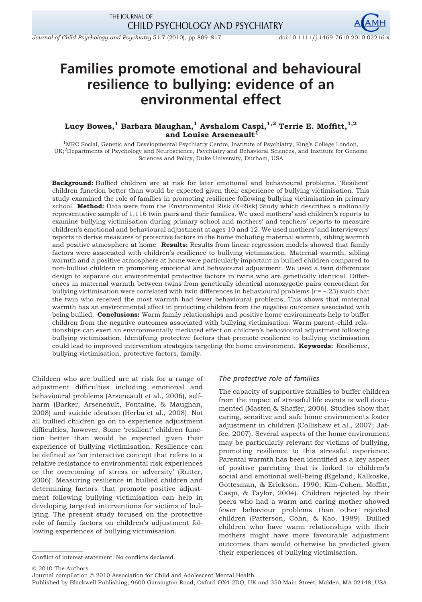# Families promote emotional and behavioural resilience to bullying: evidence of an environmental effect

# Lucy Bowes,<sup>1</sup> Barbara Maughan,<sup>1</sup> Avshalom Caspi,<sup>1,2</sup> Terrie E. Moffitt,<sup>1,2</sup> and Louise Arseneault<sup>1</sup>

<sup>1</sup>MRC Social, Genetic and Developmental Psychiatry Centre, Institute of Psychiatry, King's College London, UK;<sup>2</sup>Departments of Psychology and Neuroscience, Psychiatry and Behavioral Sciences, and Institute for Genome Sciences and Policy, Duke University, Durham, USA

Background: Bullied children are at risk for later emotional and behavioural problems. 'Resilient' children function better than would be expected given their experience of bullying victimisation. This study examined the role of families in promoting resilience following bullying victimisation in primary school. Method: Data were from the Environmental Risk (E-Risk) Study which describes a nationally representative sample of 1,116 twin pairs and their families. We used mothers' and children's reports to examine bullying victimisation during primary school and mothers' and teachers' reports to measure children's emotional and behavioural adjustment at ages 10 and 12. We used mothers' and interviewers' reports to derive measures of protective factors in the home including maternal warmth, sibling warmth and positive atmosphere at home. Results: Results from linear regression models showed that family factors were associated with children's resilience to bullying victimisation. Maternal warmth, sibling warmth and a positive atmosphere at home were particularly important in bullied children compared to non-bullied children in promoting emotional and behavioural adjustment. We used a twin differences design to separate out environmental protective factors in twins who are genetically identical. Differences in maternal warmth between twins from genetically identical monozygotic pairs concordant for bullying victimisation were correlated with twin differences in behavioural problems  $(r = -.23)$  such that the twin who received the most warmth had fewer behavioural problems. This shows that maternal warmth has an environmental effect in protecting children from the negative outcomes associated with being bullied. Conclusions: Warm family relationships and positive home environments help to buffer children from the negative outcomes associated with bullying victimisation. Warm parent–child relationships can exert an environmentally mediated effect on children's behavioural adjustment following bullying victimisation. Identifying protective factors that promote resilience to bullying victimisation could lead to improved intervention strategies targeting the home environment. Keywords: Resilience, bullying victimisation, protective factors, family.

Children who are bullied are at risk for a range of adjustment difficulties including emotional and behavioural problems (Arseneault et al., 2006), selfharm (Barker, Arseneault, Fontaine, & Maughan, 2008) and suicide ideation (Herba et al., 2008). Not all bullied children go on to experience adjustment difficulties, however. Some 'resilient' children function better than would be expected given their experience of bullying victimisation. Resilience can be defined as 'an interactive concept that refers to a relative resistance to environmental risk experiences or the overcoming of stress or adversity' (Rutter, 2006). Measuring resilience in bullied children and determining factors that promote positive adjustment following bullying victimisation can help in developing targeted interventions for victims of bullying. The present study focused on the protective role of family factors on children's adjustment following experiences of bullying victimisation.

#### The protective role of families

The capacity of supportive families to buffer children from the impact of stressful life events is well documented (Masten & Shaffer, 2006). Studies show that caring, sensitive and safe home environments foster adjustment in children (Collishaw et al., 2007; Jaffee, 2007). Several aspects of the home environment may be particularly relevant for victims of bullying, promoting resilience to this stressful experience. Parental warmth has been identified as a key aspect of positive parenting that is linked to children's social and emotional well-being (Egeland, Kalkoske, Gottesman, & Erickson, 1990; Kim-Cohen, Moffitt, Caspi, & Taylor, 2004). Children rejected by their peers who had a warm and caring mother showed fewer behaviour problems than other rejected children (Patterson, Cohn, & Kao, 1989). Bullied children who have warm relationships with their mothers might have more favourable adjustment outcomes than would otherwise be predicted given their experiences of bullying victimisation. Conflict of interest statement: No conflicts declared.

© 2010 The Authors

Journal compilation © 2010 Association for Child and Adolescent Mental Health.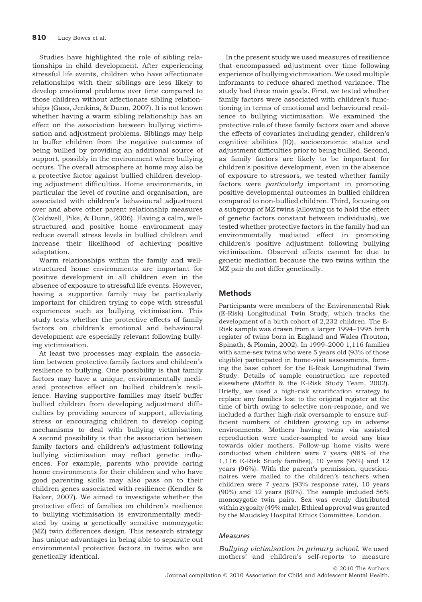Studies have highlighted the role of sibling relationships in child development. After experiencing stressful life events, children who have affectionate relationships with their siblings are less likely to develop emotional problems over time compared to those children without affectionate sibling relationships (Gass, Jenkins, & Dunn, 2007). It is not known whether having a warm sibling relationship has an effect on the association between bullying victimisation and adjustment problems. Siblings may help to buffer children from the negative outcomes of being bullied by providing an additional source of support, possibly in the environment where bullying occurs. The overall atmosphere at home may also be a protective factor against bullied children developing adjustment difficulties. Home environments, in particular the level of routine and organisation, are associated with children's behavioural adjustment over and above other parent relationship measures (Coldwell, Pike, & Dunn, 2006). Having a calm, wellstructured and positive home environment may reduce overall stress levels in bullied children and increase their likelihood of achieving positive adaptation.

Warm relationships within the family and wellstructured home environments are important for positive development in all children even in the absence of exposure to stressful life events. However, having a supportive family may be particularly important for children trying to cope with stressful experiences such as bullying victimisation. This study tests whether the protective effects of family factors on children's emotional and behavioural development are especially relevant following bullying victimisation.

At least two processes may explain the association between protective family factors and children's resilience to bullying. One possibility is that family factors may have a unique, environmentally mediated protective effect on bullied children's resilience. Having supportive families may itself buffer bullied children from developing adjustment difficulties by providing sources of support, alleviating stress or encouraging children to develop coping mechanisms to deal with bullying victimisation. A second possibility is that the association between family factors and children's adjustment following bullying victimisation may reflect genetic influences. For example, parents who provide caring home environments for their children and who have good parenting skills may also pass on to their children genes associated with resilience (Kendler & Baker, 2007). We aimed to investigate whether the protective effect of families on children's resilience to bullying victimisation is environmentally mediated by using a genetically sensitive monozygotic (MZ) twin differences design. This research strategy has unique advantages in being able to separate out environmental protective factors in twins who are genetically identical.

In the present study we used measures of resilience that encompassed adjustment over time following experience of bullying victimisation. We used multiple informants to reduce shared method variance. The study had three main goals. First, we tested whether family factors were associated with children's functioning in terms of emotional and behavioural resilience to bullying victimisation. We examined the protective role of these family factors over and above the effects of covariates including gender, children's cognitive abilities (IQ), socioeconomic status and adjustment difficulties prior to being bullied. Second, as family factors are likely to be important for children's positive development, even in the absence of exposure to stressors, we tested whether family factors were *particularly* important in promoting positive developmental outcomes in bullied children compared to non-bullied children. Third, focusing on a subgroup of MZ twins (allowing us to hold the effect of genetic factors constant between individuals), we tested whether protective factors in the family had an environmentally mediated effect in promoting children's positive adjustment following bullying victimisation. Observed effects cannot be due to genetic mediation because the two twins within the MZ pair do not differ genetically.

# Methods

Participants were members of the Environmental Risk (E-Risk) Longitudinal Twin Study, which tracks the development of a birth cohort of 2,232 children. The E-Risk sample was drawn from a larger 1994–1995 birth register of twins born in England and Wales (Trouton, Spinath, & Plomin, 2002). In 1999–2000 1,116 families with same-sex twins who were 5 years old (93% of those eligible) participated in home-visit assessments, forming the base cohort for the E-Risk Longitudinal Twin Study. Details of sample construction are reported elsewhere (Moffitt & the E-Risk Study Team, 2002). Briefly, we used a high-risk stratification strategy to replace any families lost to the original register at the time of birth owing to selective non-response, and we included a further high-risk oversample to ensure sufficient numbers of children growing up in adverse environments. Mothers having twins via assisted reproduction were under-sampled to avoid any bias towards older mothers. Follow-up home visits were conducted when children were 7 years (98% of the 1,116 E-Risk Study families), 10 years (96%) and 12 years (96%). With the parent's permission, questionnaires were mailed to the children's teachers when children were 7 years (93% response rate), 10 years (90%) and 12 years (80%). The sample included 56% monozygotic twin pairs. Sex was evenly distributed within zygosity (49% male). Ethical approval was granted by the Maudsley Hospital Ethics Committee, London.

#### Measures

Bullying victimisation in primary school. We used mothers' and children's self-reports to measure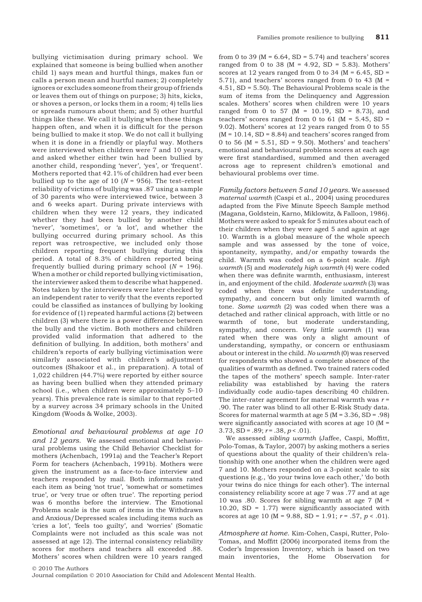bullying victimisation during primary school. We explained that someone is being bullied when another child 1) says mean and hurtful things, makes fun or calls a person mean and hurtful names; 2) completely ignores or excludes someone from their group of friends or leaves them out of things on purpose; 3) hits, kicks, or shoves a person, or locks them in a room; 4) tells lies or spreads rumours about them; and 5) other hurtful things like these. We call it bullying when these things happen often, and when it is difficult for the person being bullied to make it stop. We do not call it bullying when it is done in a friendly or playful way. Mothers were interviewed when children were 7 and 10 years, and asked whether either twin had been bullied by another child, responding 'never', 'yes', or 'frequent'. Mothers reported that 42.1% of children had ever been bullied up to the age of 10 ( $N = 956$ ). The test–retest reliability of victims of bullying was .87 using a sample of 30 parents who were interviewed twice, between 3 and 6 weeks apart. During private interviews with children when they were 12 years, they indicated whether they had been bullied by another child 'never', 'sometimes', or 'a lot', and whether the bullying occurred during primary school. As this report was retrospective, we included only those children reporting frequent bullying during this period. A total of 8.3% of children reported being frequently bullied during primary school  $(N = 196)$ . When a mother or child reported bullying victimisation, the interviewer asked them to describe what happened. Notes taken by the interviewers were later checked by an independent rater to verify that the events reported could be classified as instances of bullying by looking for evidence of (1) repeated harmful actions (2) between children (3) where there is a power difference between the bully and the victim. Both mothers and children provided valid information that adhered to the definition of bullying. In addition, both mothers' and children's reports of early bullying victimisation were similarly associated with children's adjustment outcomes (Shakoor et al., in preparation). A total of 1,022 children (44.7%) were reported by either source as having been bullied when they attended primary school (i.e., when children were approximately 5–10 years). This prevalence rate is similar to that reported by a survey across 34 primary schools in the United Kingdom (Woods & Wolke, 2003).

Emotional and behavioural problems at age 10 and 12 years. We assessed emotional and behavioural problems using the Child Behavior Checklist for mothers (Achenbach, 1991a) and the Teacher's Report Form for teachers (Achenbach, 1991b). Mothers were given the instrument as a face-to-face interview and teachers responded by mail. Both informants rated each item as being 'not true', 'somewhat or sometimes true', or 'very true or often true'. The reporting period was 6 months before the interview. The Emotional Problems scale is the sum of items in the Withdrawn and Anxious/Depressed scales including items such as 'cries a lot', 'feels too guilty', and 'worries' (Somatic Complaints were not included as this scale was not assessed at age 12). The internal consistency reliability scores for mothers and teachers all exceeded .88. Mothers' scores when children were 10 years ranged from 0 to 39 ( $M = 6.64$ , SD = 5.74) and teachers' scores ranged from 0 to 38 ( $M = 4.92$ , SD = 5.83). Mothers' scores at 12 years ranged from 0 to 34 ( $M = 6.45$ , SD = 5.71), and teachers' scores ranged from 0 to 43 ( $M =$ 4.51, SD = 5.50). The Behavioural Problems scale is the sum of items from the Delinquency and Aggression scales. Mothers' scores when children were 10 years ranged from 0 to 57 ( $M = 10.19$ , SD = 8.73), and teachers' scores ranged from 0 to 61 ( $M = 5.45$ , SD = 9.02). Mothers' scores at 12 years ranged from 0 to 55  $(M = 10.14, SD = 8.84)$  and teachers' scores ranged from 0 to 56 ( $M = 5.51$ , SD = 9.50). Mothers' and teachers' emotional and behavioural problems scores at each age were first standardised, summed and then averaged across age to represent children's emotional and behavioural problems over time.

Family factors between 5 and 10 years. We assessed maternal warmth (Caspi et al., 2004) using procedures adapted from the Five Minute Speech Sample method (Magana, Goldstein, Karno, Miklowitz, & Falloon, 1986). Mothers were asked to speak for 5 minutes about each of their children when they were aged 5 and again at age 10. Warmth is a global measure of the whole speech sample and was assessed by the tone of voice, spontaneity, sympathy, and/or empathy towards the child. Warmth was coded on a 6-point scale. High warmth (5) and moderately high warmth (4) were coded when there was definite warmth, enthusiasm, interest in, and enjoyment of the child. Moderate warmth (3) was coded when there was definite understanding, sympathy, and concern but only limited warmth of tone. Some warmth (2) was coded when there was a detached and rather clinical approach, with little or no warmth of tone, but moderate understanding, sympathy, and concern. Very little warmth (1) was rated when there was only a slight amount of understanding, sympathy, or concern or enthusiasm about or interest in the child. No warmth (0) was reserved for respondents who showed a complete absence of the qualities of warmth as defined. Two trained raters coded the tapes of the mothers' speech sample. Inter-rater reliability was established by having the raters individually code audio-tapes describing 40 children. The inter-rater agreement for maternal warmth was  $r =$ .90. The rater was blind to all other E-Risk Study data. Scores for maternal warmth at age 5 (M = 3.36, SD = .98) were significantly associated with scores at age  $10 \, \text{(M)} =$  $3.73$ , SD =  $.89$ ;  $r = .38$ ,  $p < .01$ ).

We assessed sibling warmth (Jaffee, Caspi, Moffitt, Polo-Tomas, & Taylor, 2007) by asking mothers a series of questions about the quality of their children's relationship with one another when the children were aged 7 and 10. Mothers responded on a 3-point scale to six questions (e.g., 'do your twins love each other,' 'do both your twins do nice things for each other'). The internal consistency reliability score at age 7 was .77 and at age 10 was .80. Scores for sibling warmth at age 7 ( $M =$ 10.20, SD = 1.77) were significantly associated with scores at age 10 (M = 9.88, SD = 1.91;  $r = .57$ ,  $p < .01$ ).

Atmosphere at home. Kim-Cohen, Caspi, Rutter, Polo-Tomas, and Moffitt (2006) incorporated items from the Coder's Impression Inventory, which is based on two main inventories, the Home Observation for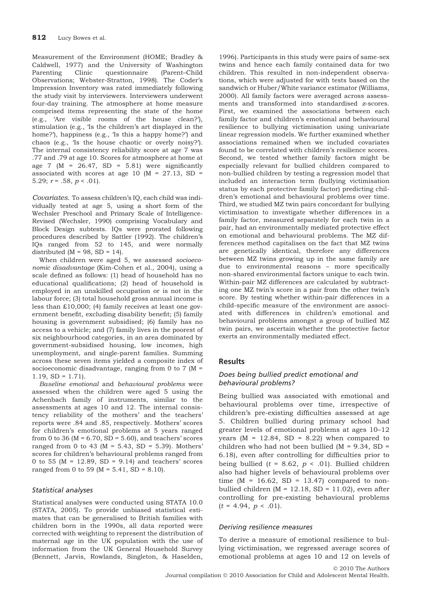Measurement of the Environment (HOME; Bradley & Caldwell, 1977) and the University of Washington Clinic questionnaire (Parent–Child Observations; Webster-Stratton, 1998). The Coder's Impression Inventory was rated immediately following the study visit by interviewers. Interviewers underwent four-day training. The atmosphere at home measure comprised items representing the state of the home (e.g., 'Are visible rooms of the house clean?'), stimulation (e.g., 'Is the children's art displayed in the home?'), happiness (e.g., 'Is this a happy home?') and chaos (e.g., 'Is the house chaotic or overly noisy?'). The internal consistency reliability score at age 7 was .77 and .79 at age 10. Scores for atmosphere at home at age 7 (M =  $26.47$ , SD =  $5.81$ ) were significantly associated with scores at age 10 ( $M = 27.13$ , SD = 5.29;  $r = .58$ ,  $p < .01$ ).

Covariates. To assess children's IQ, each child was individually tested at age 5, using a short form of the Wechsler Preschool and Primary Scale of Intelligence-Revised (Wechsler, 1990) comprising Vocabulary and Block Design subtests. IQs were prorated following procedures described by Sattler (1992). The children's IQs ranged from 52 to 145, and were normally distributed ( $M = 98$ , SD = 14).

When children were aged 5, we assessed socioeconomic disadvantage (Kim-Cohen et al., 2004), using a scale defined as follows: (1) head of household has no educational qualifications; (2) head of household is employed in an unskilled occupation or is not in the labour force; (3) total household gross annual income is less than £10,000; (4) family receives at least one government benefit, excluding disability benefit; (5) family housing is government subsidised; (6) family has no access to a vehicle; and (7) family lives in the poorest of six neighbourhood categories, in an area dominated by government-subsidised housing, low incomes, high unemployment, and single-parent families. Summing across these seven items yielded a composite index of socioeconomic disadvantage, ranging from 0 to 7 (M =  $1.19$ , SD = 1.71).

Baseline emotional and behavioural problems were assessed when the children were aged 5 using the Achenbach family of instruments, similar to the assessments at ages 10 and 12. The internal consistency reliability of the mothers' and the teachers' reports were .84 and .85, respectively. Mothers' scores for children's emotional problems at 5 years ranged from 0 to 36 ( $M = 6.70$ , SD = 5.60), and teachers' scores ranged from 0 to 43 ( $M = 5.43$ , SD = 5.39). Mothers' scores for children's behavioural problems ranged from 0 to 55 ( $M = 12.89$ , SD = 9.14) and teachers' scores ranged from 0 to 59 ( $M = 5.41$ , SD = 8.10).

#### Statistical analyses

Statistical analyses were conducted using STATA 10.0 (STATA, 2005). To provide unbiased statistical estimates that can be generalised to British families with children born in the 1990s, all data reported were corrected with weighting to represent the distribution of maternal age in the UK population with the use of information from the UK General Household Survey (Bennett, Jarvis, Rowlands, Singleton, & Haselden,

1996). Participants in this study were pairs of same-sex twins and hence each family contained data for two children. This resulted in non-independent observations, which were adjusted for with tests based on the sandwich or Huber/White variance estimator (Williams, 2000). All family factors were averaged across assessments and transformed into standardised z-scores. First, we examined the associations between each family factor and children's emotional and behavioural resilience to bullying victimisation using univariate linear regression models. We further examined whether associations remained when we included covariates found to be correlated with children's resilience scores. Second, we tested whether family factors might be especially relevant for bullied children compared to non-bullied children by testing a regression model that included an interaction term (bullying victimisation status by each protective family factor) predicting children's emotional and behavioural problems over time. Third, we studied MZ twin pairs concordant for bullying victimisation to investigate whether differences in a family factor, measured separately for each twin in a pair, had an environmentally mediated protective effect on emotional and behavioural problems. The MZ differences method capitalises on the fact that MZ twins are genetically identical, therefore any differences between MZ twins growing up in the same family are due to environmental reasons – more specifically non-shared environmental factors unique to each twin. Within-pair MZ differences are calculated by subtracting one MZ twin's score in a pair from the other twin's score. By testing whether within-pair differences in a child-specific measure of the environment are associated with differences in children's emotional and behavioural problems amongst a group of bullied MZ twin pairs, we ascertain whether the protective factor exerts an environmentally mediated effect.

# **Results**

# Does being bullied predict emotional and behavioural problems?

Being bullied was associated with emotional and behavioural problems over time, irrespective of children's pre-existing difficulties assessed at age 5. Children bullied during primary school had greater levels of emotional problems at ages 10–12 years ( $M = 12.84$ , SD = 8.22) when compared to children who had not been bullied  $(M = 9.34, SD =$ 6.18), even after controlling for difficulties prior to being bullied ( $t = 8.62$ ,  $p < .01$ ). Bullied children also had higher levels of behavioural problems over time ( $M = 16.62$ , SD = 13.47) compared to nonbullied children ( $M = 12.18$ , SD = 11.02), even after controlling for pre-existing behavioural problems  $(t = 4.94, p < .01).$ 

#### Deriving resilience measures

To derive a measure of emotional resilience to bullying victimisation, we regressed average scores of emotional problems at ages 10 and 12 on levels of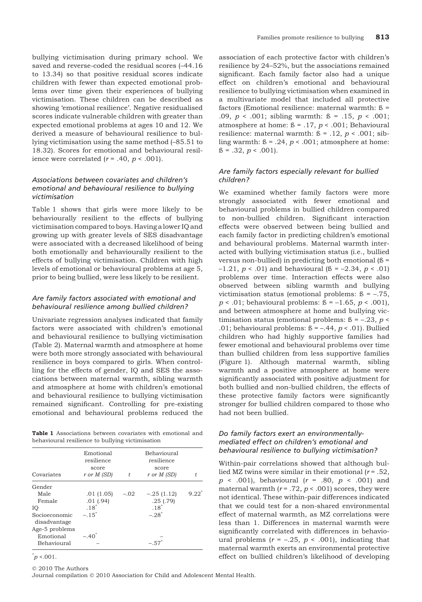bullying victimisation during primary school. We saved and reverse-coded the residual scores (–44.16 to 13.34) so that positive residual scores indicate children with fewer than expected emotional problems over time given their experiences of bullying victimisation. These children can be described as showing 'emotional resilience'. Negative residualised scores indicate vulnerable children with greater than expected emotional problems at ages 10 and 12. We derived a measure of behavioural resilience to bullying victimisation using the same method (–85.51 to 18.32). Scores for emotional and behavioural resilience were correlated  $(r = .40, p < .001)$ .

# Associations between covariates and children's emotional and behavioural resilience to bullying victimisation

Table 1 shows that girls were more likely to be behaviourally resilient to the effects of bullying victimisation compared to boys. Having a lower IQ and growing up with greater levels of SES disadvantage were associated with a decreased likelihood of being both emotionally and behaviourally resilient to the effects of bullying victimisation. Children with high levels of emotional or behavioural problems at age 5, prior to being bullied, were less likely to be resilient.

# Are family factors associated with emotional and behavioural resilience among bullied children?

Univariate regression analyses indicated that family factors were associated with children's emotional and behavioural resilience to bullying victimisation (Table 2). Maternal warmth and atmosphere at home were both more strongly associated with behavioural resilience in boys compared to girls. When controlling for the effects of gender, IQ and SES the associations between maternal warmth, sibling warmth and atmosphere at home with children's emotional and behavioural resilience to bullying victimisation remained significant. Controlling for pre-existing emotional and behavioural problems reduced the

Table 1 Associations between covariates with emotional and behavioural resilience to bullying victimisation

| Covariates                                                                        | Emotional<br>resilience<br>score<br>r or $M(SD)$    | t.     | Behavioural<br>resilience<br>score<br>r or $M(SD)$ | t.               |
|-----------------------------------------------------------------------------------|-----------------------------------------------------|--------|----------------------------------------------------|------------------|
| Gender<br>Male<br>Female<br>IO<br>Socioeconomic<br>disadvantage<br>Age-5 problems | .01(1.05)<br>$.01$ $(.94)$<br>$.18^{*}$<br>$-.15^*$ | $-.02$ | $-.25(1.12)$<br>.25(.79)<br>$.18^{*}$<br>$-.28^*$  | $9.22^{\degree}$ |
| Emotional<br>Behavioural                                                          | $-.40^{\degree}$                                    |        | $-57$                                              |                  |

 $p$  < 001.

association of each protective factor with children's

resilience by 24–52%, but the associations remained significant. Each family factor also had a unique effect on children's emotional and behavioural resilience to bullying victimisation when examined in a multivariate model that included all protective factors (Emotional resilience: maternal warmth: ß = .09,  $p < .001$ ; sibling warmth:  $\beta = .15$ ,  $p < .001$ ; atmosphere at home:  $\beta = .17$ ,  $p < .001$ ; Behavioural resilience: maternal warmth:  $\beta = .12$ ,  $p < .001$ ; sibling warmth:  $\beta = .24$ ,  $p < .001$ ; atmosphere at home:  $\beta = .32, p < .001$ .

# Are family factors especially relevant for bullied children?

We examined whether family factors were more strongly associated with fewer emotional and behavioural problems in bullied children compared to non-bullied children. Significant interaction effects were observed between being bullied and each family factor in predicting children's emotional and behavioural problems. Maternal warmth interacted with bullying victimisation status (i.e., bullied versus non-bullied) in predicting both emotional (ß =  $-1.21, p < .01$  and behavioural ( $\beta = -2.34, p < .01$ ) problems over time. Interaction effects were also observed between sibling warmth and bullying victimisation status (emotional problems:  $\beta = -.75$ ,  $p < .01$ ; behavioural problems:  $\beta = -1.65$ ,  $p < .001$ ), and between atmosphere at home and bullying victimisation status (emotional problems:  $\beta = -.23$ ,  $p <$ .01; behavioural problems:  $\beta = -.44$ ,  $p < .01$ ). Bullied children who had highly supportive families had fewer emotional and behavioural problems over time than bullied children from less supportive families (Figure 1). Although maternal warmth, sibling warmth and a positive atmosphere at home were significantly associated with positive adjustment for both bullied and non-bullied children, the effects of these protective family factors were significantly stronger for bullied children compared to those who had not been bullied.

#### Do family factors exert an environmentallymediated effect on children's emotional and behavioural resilience to bullying victimisation?

Within-pair correlations showed that although bullied MZ twins were similar in their emotional  $(r = .52)$ ,  $p \lt 0.001$ , behavioural ( $r = 0.80$ ,  $p \lt 0.001$ ) and maternal warmth ( $r = .72$ ,  $p < .001$ ) scores, they were not identical. These within-pair differences indicated that we could test for a non-shared environmental effect of maternal warmth, as MZ correlations were less than 1. Differences in maternal warmth were significantly correlated with differences in behavioural problems ( $r = -.25$ ,  $p < .001$ ), indicating that maternal warmth exerts an environmental protective effect on bullied children's likelihood of developing

Journal compilation © 2010 Association for Child and Adolescent Mental Health.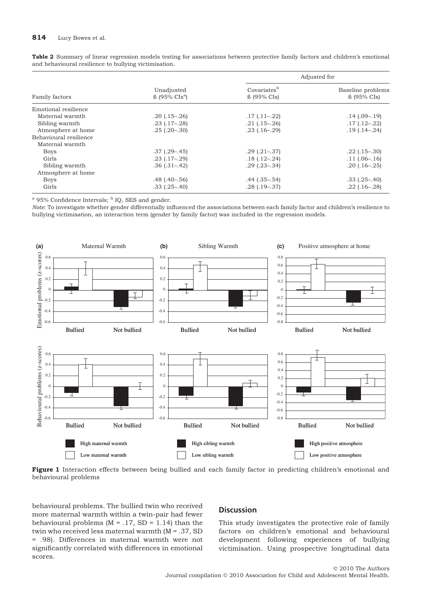| Family factors         | Unadjusted<br>$\beta$ (95% CIs <sup>a</sup> ) |                                              | Adjusted for                           |
|------------------------|-----------------------------------------------|----------------------------------------------|----------------------------------------|
|                        |                                               | Covariates <sup>b</sup><br>$\beta$ (95% CIs) | Baseline problems<br>$\beta$ (95% CIs) |
| Emotional resilience   |                                               |                                              |                                        |
| Maternal warmth        | $.20$ ( $.15 - .26$ )                         | $.17(11-.22)$                                | $.14$ (.09- $.19$ )                    |
| Sibling warmth         | $.23$ ( $.17 - .28$ )                         | $.21$ $(.15-.26)$                            | $.17(0.12 - .22)$                      |
| Atmosphere at home     | $.25$ $(.20-.30)$                             | $.23$ $(.16 - .29)$                          | $.19$ $(.14 - .24)$                    |
| Behavioural resilience |                                               |                                              |                                        |
| Maternal warmth        |                                               |                                              |                                        |
| <b>Boys</b>            | $.37$ $(.29-.45)$                             | $.29$ $(.21-.37)$                            | $.22$ ( $.15 - .30$ )                  |
| Girls                  | $.23$ ( $.17 - .29$ )                         | $.18$ $(.12-.24)$                            | $.11(.06-.16)$                         |
| Sibling warmth         | $.36$ $(.31-.42)$                             | $.29$ $(.23-.34)$                            | $.20$ $(.16 - .25)$                    |
| Atmosphere at home     |                                               |                                              |                                        |
| <b>Boys</b>            | $.48$ $(.40-.56)$                             | $.44$ $(.35-.54)$                            | $.33$ $(.25-.40)$                      |
| Girls                  | $.33$ $(.25-.40)$                             | $.28$ $(.19-.37)$                            | $.22$ $(.16 - .28)$                    |

Table 2 Summary of linear regression models testing for associations between protective family factors and children's emotional and behavioural resilience to bullying victimisation.

 $a$  95% Confidence Intervals;  $b$  IQ, SES and gender.

Note: To investigate whether gender differentially influenced the associations between each family factor and children's resilience to bullying victimisation, an interaction term (gender by family factor) was included in the regression models.



Figure 1 Interaction effects between being bullied and each family factor in predicting children's emotional and behavioural problems

behavioural problems. The bullied twin who received more maternal warmth within a twin-pair had fewer behavioural problems ( $M = .17$ , SD = 1.14) than the twin who received less maternal warmth (M = .37, SD = .98). Differences in maternal warmth were not significantly correlated with differences in emotional scores.

#### **Discussion**

This study investigates the protective role of family factors on children's emotional and behavioural development following experiences of bullying victimisation. Using prospective longitudinal data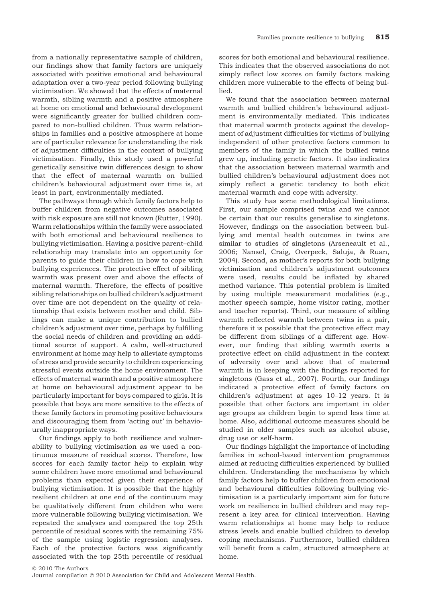from a nationally representative sample of children, our findings show that family factors are uniquely associated with positive emotional and behavioural adaptation over a two-year period following bullying victimisation. We showed that the effects of maternal warmth, sibling warmth and a positive atmosphere at home on emotional and behavioural development were significantly greater for bullied children compared to non-bullied children. Thus warm relationships in families and a positive atmosphere at home are of particular relevance for understanding the risk of adjustment difficulties in the context of bullying victimisation. Finally, this study used a powerful genetically sensitive twin differences design to show that the effect of maternal warmth on bullied children's behavioural adjustment over time is, at least in part, environmentally mediated.

The pathways through which family factors help to buffer children from negative outcomes associated with risk exposure are still not known (Rutter, 1990). Warm relationships within the family were associated with both emotional and behavioural resilience to bullying victimisation. Having a positive parent–child relationship may translate into an opportunity for parents to guide their children in how to cope with bullying experiences. The protective effect of sibling warmth was present over and above the effects of maternal warmth. Therefore, the effects of positive sibling relationships on bullied children's adjustment over time are not dependent on the quality of relationship that exists between mother and child. Siblings can make a unique contribution to bullied children's adjustment over time, perhaps by fulfilling the social needs of children and providing an additional source of support. A calm, well-structured environment at home may help to alleviate symptoms of stress and provide security to children experiencing stressful events outside the home environment. The effects of maternal warmth and a positive atmosphere at home on behavioural adjustment appear to be particularly important for boys compared to girls. It is possible that boys are more sensitive to the effects of these family factors in promoting positive behaviours and discouraging them from 'acting out' in behaviourally inappropriate ways.

Our findings apply to both resilience and vulnerability to bullying victimisation as we used a continuous measure of residual scores. Therefore, low scores for each family factor help to explain why some children have more emotional and behavioural problems than expected given their experience of bullying victimisation. It is possible that the highly resilient children at one end of the continuum may be qualitatively different from children who were more vulnerable following bullying victimisation. We repeated the analyses and compared the top 25th percentile of residual scores with the remaining 75% of the sample using logistic regression analyses. Each of the protective factors was significantly associated with the top 25th percentile of residual

scores for both emotional and behavioural resilience. This indicates that the observed associations do not simply reflect low scores on family factors making children more vulnerable to the effects of being bullied.

We found that the association between maternal warmth and bullied children's behavioural adjustment is environmentally mediated. This indicates that maternal warmth protects against the development of adjustment difficulties for victims of bullying independent of other protective factors common to members of the family in which the bullied twins grew up, including genetic factors. It also indicates that the association between maternal warmth and bullied children's behavioural adjustment does not simply reflect a genetic tendency to both elicit maternal warmth and cope with adversity.

This study has some methodological limitations. First, our sample comprised twins and we cannot be certain that our results generalise to singletons. However, findings on the association between bullying and mental health outcomes in twins are similar to studies of singletons (Arseneault et al., 2006; Nansel, Craig, Overpeck, Saluja, & Ruan, 2004). Second, as mother's reports for both bullying victimisation and children's adjustment outcomes were used, results could be inflated by shared method variance. This potential problem is limited by using multiple measurement modalities (e.g., mother speech sample, home visitor rating, mother and teacher reports). Third, our measure of sibling warmth reflected warmth between twins in a pair, therefore it is possible that the protective effect may be different from siblings of a different age. However, our finding that sibling warmth exerts a protective effect on child adjustment in the context of adversity over and above that of maternal warmth is in keeping with the findings reported for singletons (Gass et al., 2007). Fourth, our findings indicated a protective effect of family factors on children's adjustment at ages 10–12 years. It is possible that other factors are important in older age groups as children begin to spend less time at home. Also, additional outcome measures should be studied in older samples such as alcohol abuse, drug use or self-harm.

Our findings highlight the importance of including families in school-based intervention programmes aimed at reducing difficulties experienced by bullied children. Understanding the mechanisms by which family factors help to buffer children from emotional and behavioural difficulties following bullying victimisation is a particularly important aim for future work on resilience in bullied children and may represent a key area for clinical intervention. Having warm relationships at home may help to reduce stress levels and enable bullied children to develop coping mechanisms. Furthermore, bullied children will benefit from a calm, structured atmosphere at home.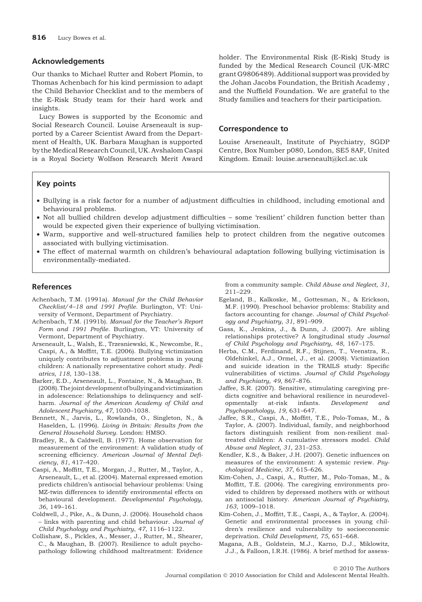#### Acknowledgements

Our thanks to Michael Rutter and Robert Plomin, to Thomas Achenbach for his kind permission to adapt the Child Behavior Checklist and to the members of the E-Risk Study team for their hard work and insights.

Lucy Bowes is supported by the Economic and Social Research Council. Louise Arseneault is supported by a Career Scientist Award from the Department of Health, UK. Barbara Maughan is supported by theMedical Research Council, UK. Avshalom Caspi is a Royal Society Wolfson Research Merit Award holder. The Environmental Risk (E-Risk) Study is funded by the Medical Research Council (UK-MRC grant G9806489). Additional support was provided by the Johan Jacobs Foundation, the British Academy , and the Nuffield Foundation. We are grateful to the Study families and teachers for their participation.

## Correspondence to

Louise Arseneault, Institute of Psychiatry, SGDP Centre, Box Number p080, London, SE5 8AF, United Kingdom. Email: louise.arseneault@kcl.ac.uk

# Key points

- Bullying is a risk factor for a number of adjustment difficulties in childhood, including emotional and behavioural problems.
- Not all bullied children develop adjustment difficulties some 'resilient' children function better than would be expected given their experience of bullying victimisation.
- Warm, supportive and well-structured families help to protect children from the negative outcomes associated with bullying victimisation.
- The effect of maternal warmth on children's behavioural adaptation following bullying victimisation is environmentally-mediated.

#### References

- Achenbach, T.M. (1991a). Manual for the Child Behavior Checklist/4–18 and 1991 Profile. Burlington, VT: University of Vermont, Department of Psychiatry.
- Achenbach, T.M. (1991b). Manual for the Teacher's Report Form and 1991 Profile. Burlington, VT: University of Vermont, Department of Psychiatry.
- Arseneault, L., Walsh, E., Trzesniewski, K., Newcombe, R., Caspi, A., & Moffitt, T.E. (2006). Bullying victimization uniquely contributes to adjustment problems in young children: A nationally representative cohort study. Pediatrics, 118, 130–138.
- Barker, E.D., Arseneault, L., Fontaine, N., & Maughan, B. (2008). The joint development of bullying and victimization in adolescence: Relationships to delinquency and selfharm. Journal of the American Academy of Child and Adolescent Psychiatry, 47, 1030–1038.
- Bennett, N., Jarvis, L., Rowlands, O., Singleton, N., & Haselden, L. (1996). Living in Britain: Results from the General Household Survey. London: HMSO.
- Bradley, R., & Caldwell, B. (1977). Home observation for measurement of the environment: A validation study of screening efficiency. American Journal of Mental Deficiency, 81, 417–420.
- Caspi, A., Moffitt, T.E., Morgan, J., Rutter, M., Taylor, A., Arseneault, L., et al. (2004). Maternal expressed emotion predicts children's antisocial behaviour problems: Using MZ-twin differences to identify environmental effects on behavioural development. Developmental Psychology, 36, 149–161.
- Coldwell, J., Pike, A., & Dunn, J. (2006). Household chaos – links with parenting and child behaviour. Journal of Child Psychology and Psychiatry, 47, 1116–1122.
- Collishaw, S., Pickles, A., Messer, J., Rutter, M., Shearer, C., & Maughan, B. (2007). Resilience to adult psychopathology following childhood maltreatment: Evidence

from a community sample. Child Abuse and Neglect, 31, 211–229.

- Egeland, B., Kalkoske, M., Gottesman, N., & Erickson, M.F. (1990). Preschool behavior problems: Stability and factors accounting for change. Journal of Child Psychology and Psychiatry, 31, 891–909.
- Gass, K., Jenkins, J., & Dunn, J. (2007). Are sibling relationships protective? A longitudinal study Journal of Child Psychology and Psychiatry, 48, 167–175.
- Herba, C.M., Ferdinand, R.F., Stijnen, T., Veenstra, R., Oldehinkel, A.J., Ormel, J., et al. (2008). Victimization and suicide ideation in the TRAILS study: Specific vulnerabilities of victims. Journal of Child Psychology and Psychiatry, 49, 867–876.
- Jaffee, S.R. (2007). Sensitive, stimulating caregiving predicts cognitive and behavioral resilience in neurodevelopmentally at-risk infants. Development and Psychopathology, 19, 631–647.
- Jaffee, S.R., Caspi, A., Moffitt, T.E., Polo-Tomas, M., & Taylor, A. (2007). Individual, family, and neighborhood factors distinguish resilient from non-resilient maltreated children: A cumulative stressors model. Child Abuse and Neglect, 31, 231–253.
- Kendler, K.S., & Baker, J.H. (2007). Genetic influences on measures of the environment: A systemic review. Psychological Medicine, 37, 615–626.
- Kim-Cohen, J., Caspi, A., Rutter, M., Polo-Tomas, M., & Moffitt, T.E. (2006). The caregiving environments provided to children by depressed mothers with or without an antisocial history. American Journal of Psychiatry, 163, 1009–1018.
- Kim-Cohen, J., Moffitt, T.E., Caspi, A., & Taylor, A. (2004). Genetic and environmental processes in young children's resilience and vulnerability to socioeconomic deprivation. Child Development, 75, 651–668.
- Magana, A.B., Goldstein, M.J., Karno, D.J., Miklowitz, J.J., & Falloon, I.R.H. (1986). A brief method for assess-